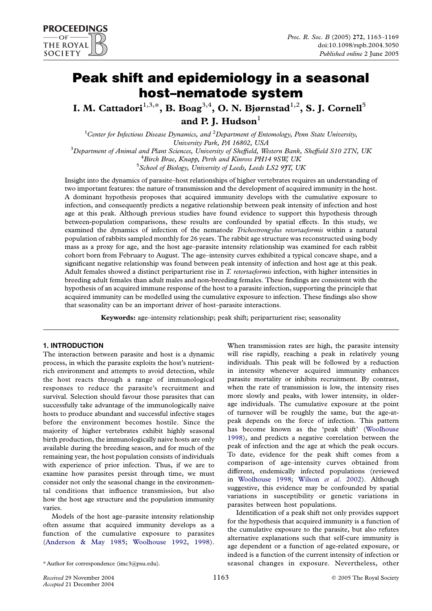# Peak shift and epidemiology in a seasonal host–nematode system

I. M. Cattadori<sup>1,3,\*</sup>, B. Boag<sup>3,4</sup>, O. N. Bjørnstad<sup>1,2</sup>, S. J. Cornell<sup>5</sup> and P. I. Hudson $<sup>1</sup>$ </sup>

<sup>1</sup> Center for Infectious Disease Dynamics, and <sup>2</sup> Department of Entomology, Penn State University, University Park, PA 16802, USA<br><sup>3</sup> Department of Animal and Plant Sciences, University of Sheffield, We Department of Animal and Plant Sciences, University of Sheffield, Western Bank, Sheffield S10 2TN, UK<br><sup>4</sup> Birch Brae, Knapp, Pryth and Kinross PH14 9SW UK  ${}^{4}$ Birch Brae, Knapp, Perth and Kinross PH14 9SW, UK  $5$ School of Biology, University of Leeds, Leeds LS2 9JT, UK

Insight into the dynamics of parasite–host relationships of higher vertebrates requires an understanding of two important features: the nature of transmission and the development of acquired immunity in the host. A dominant hypothesis proposes that acquired immunity develops with the cumulative exposure to infection, and consequently predicts a negative relationship between peak intensity of infection and host age at this peak. Although previous studies have found evidence to support this hypothesis through between-population comparisons, these results are confounded by spatial effects. In this study, we examined the dynamics of infection of the nematode *Trichostrongylus retortaeformis* within a natural population of rabbits sampled monthly for 26 years. The rabbit age structure was reconstructed using body mass as a proxy for age, and the host age–parasite intensity relationship was examined for each rabbit cohort born from February to August. The age–intensity curves exhibited a typical concave shape, and a significant negative relationship was found between peak intensity of infection and host age at this peak. Adult females showed a distinct periparturient rise in T. retortaeformis infection, with higher intensities in breeding adult females than adult males and non-breeding females. These findings are consistent with the hypothesis of an acquired immune response of the host to a parasite infection, supporting the principle that acquired immunity can be modelled using the cumulative exposure to infection. These findings also show that seasonality can be an important driver of host–parasite interactions.

Keywords: age–intensity relationship; peak shift; periparturient rise; seasonality

# 1. INTRODUCTION

The interaction between parasite and host is a dynamic process, in which the parasite exploits the host's nutrientrich environment and attempts to avoid detection, while the host reacts through a range of immunological responses to reduce the parasite's recruitment and survival. Selection should favour those parasites that can successfully take advantage of the immunologically naive hosts to produce abundant and successful infective stages before the environment becomes hostile. Since the majority of higher vertebrates exhibit highly seasonal birth production, the immunologically naive hosts are only available during the breeding season, and for much of the remaining year, the host population consists of individuals with experience of prior infection. Thus, if we are to examine how parasites persist through time, we must consider not only the seasonal change in the environmental conditions that influence transmission, but also how the host age structure and the population immunity varies.

Models of the host age–parasite intensity relationship often assume that acquired immunity develops as a function of the cumulative exposure to parasites ([Anderson & May 1985;](#page-5-0) [Woolhouse 1992](#page-6-0), [1998\)](#page-6-0).

When transmission rates are high, the parasite intensity will rise rapidly, reaching a peak in relatively young individuals. This peak will be followed by a reduction in intensity whenever acquired immunity enhances parasite mortality or inhibits recruitment. By contrast, when the rate of transmission is low, the intensity rises more slowly and peaks, with lower intensity, in olderage individuals. The cumulative exposure at the point of turnover will be roughly the same, but the age-atpeak depends on the force of infection. This pattern has become known as the 'peak shift' [\(Woolhouse](#page-6-0) [1998](#page-6-0)), and predicts a negative correlation between the peak of infection and the age at which the peak occurs. To date, evidence for the peak shift comes from a comparison of age–intensity curves obtained from different, endemically infected populations (reviewed in [Woolhouse 1998](#page-6-0); Wilson et al[. 2002\)](#page-6-0). Although suggestive, this evidence may be confounded by spatial variations in susceptibility or genetic variations in parasites between host populations.

Identification of a peak shift not only provides support for the hypothesis that acquired immunity is a function of the cumulative exposure to the parasite, but also refutes alternative explanations such that self-cure immunity is age dependent or a function of age-related exposure, or indeed is a function of the current intensity of infection or seasonal changes in exposure. Nevertheless, other

<sup>\*</sup> Author for correspondence (imc3@psu.edu).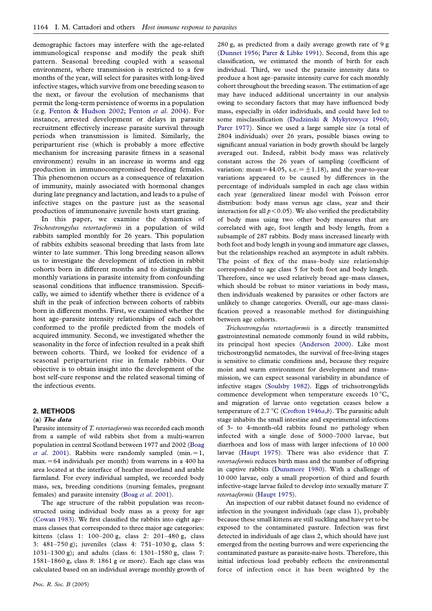demographic factors may interfere with the age-related immunological response and modify the peak shift pattern. Seasonal breeding coupled with a seasonal environment, where transmission is restricted to a few months of the year, will select for parasites with long-lived infective stages, which survive from one breeding season to the next, or favour the evolution of mechanisms that permit the long-term persistence of worms in a population (e.g. [Fenton & Hudson 2002;](#page-5-0) [Fenton](#page-5-0) et al. 2004). For instance, arrested development or delays in parasite recruitment effectively increase parasite survival through periods when transmission is limited. Similarly, the periparturient rise (which is probably a more effective mechanism for increasing parasite fitness in a seasonal environment) results in an increase in worms and egg production in immunocompromised breeding females. This phenomenon occurs as a consequence of relaxation of immunity, mainly associated with hormonal changes during late pregnancy and lactation, and leads to a pulse of infective stages on the pasture just as the seasonal production of immunonaive juvenile hosts start grazing.

In this paper, we examine the dynamics of Trichostrongylus retortaeformis in a population of wild rabbits sampled monthly for 26 years. This population of rabbits exhibits seasonal breeding that lasts from late winter to late summer. This long breeding season allows us to investigate the development of infection in rabbit cohorts born in different months and to distinguish the monthly variations in parasite intensity from confounding seasonal conditions that influence transmission. Specifically, we aimed to identify whether there is evidence of a shift in the peak of infection between cohorts of rabbits born in different months. First, we examined whether the host age–parasite intensity relationships of each cohort conformed to the profile predicted from the models of acquired immunity. Second, we investigated whether the seasonality in the force of infection resulted in a peak shift between cohorts. Third, we looked for evidence of a seasonal periparturient rise in female rabbits. Our objective is to obtain insight into the development of the host self-cure response and the related seasonal timing of the infectious events.

### 2. METHODS

## (a) The data

Parasite intensity of T. retortaeformis was recorded each month from a sample of wild rabbits shot from a multi-warren population in central Scotland between 1977 and 2002 ([Boag](#page-5-0) et al[. 2001\)](#page-5-0). Rabbits were randomly sampled (min. = 1,  $max.=64$  individuals per month) from warrens in a 400 ha area located at the interface of heather moorland and arable farmland. For every individual sampled, we recorded body mass, sex, breeding conditions (nursing females, pregnant females) and parasite intensity (Boag et al[. 2001](#page-5-0)).

The age structure of the rabbit population was reconstructed using individual body mass as a proxy for age ([Cowan 1983](#page-5-0)). We first classified the rabbits into eight age– mass classes that corresponded to three major age categories: kittens (class 1: 100–200 g, class 2: 201–480 g, class 3: 481–750 g); juveniles (class 4: 751–1030 g, class 5: 1031–1300 g); and adults (class 6: 1301–1580 g, class 7: 1581–1860 g, class 8: 1861 g or more). Each age class was calculated based on an individual average monthly growth of 280 g, as predicted from a daily average growth rate of 9 g ([Dunnet 1956;](#page-5-0) [Parer & Libke 1991](#page-6-0)). Second, from this age classification, we estimated the month of birth for each individual. Third, we used the parasite intensity data to produce a host age–parasite intensity curve for each monthly cohort throughout the breeding season. The estimation of age may have induced additional uncertainty in our analysis owing to secondary factors that may have influenced body mass, especially in older individuals, and could have led to some misclassification [\(Dudzinski & Mykytowycz 1960;](#page-5-0) [Parer 1977\)](#page-6-0). Since we used a large sample size (a total of 2804 individuals) over 26 years, possible biases owing to significant annual variation in body growth should be largely averaged out. Indeed, rabbit body mass was relatively constant across the 26 years of sampling (coefficient of variation: mean=44.05, s.e. =  $\pm$ 1.18), and the year-to-year variations appeared to be caused by differences in the percentage of individuals sampled in each age class within each year (generalized linear model with Poisson error distribution: body mass versus age class, year and their interaction for all  $p < 0.05$ ). We also verified the predictability of body mass using two other body measures that are correlated with age, foot length and body length, from a subsample of 287 rabbits. Body mass increased linearly with both foot and body length in young and immature age classes, but the relationships reached an asymptote in adult rabbits. The point of flex of the mass–body size relationship corresponded to age class 5 for both foot and body length. Therefore, since we used relatively broad age–mass classes, which should be robust to minor variations in body mass, then individuals weakened by parasites or other factors are unlikely to change categories. Overall, our age–mass classification proved a reasonable method for distinguishing between age cohorts.

Trichostrongylus retortaeformis is a directly transmitted gastrointestinal nematode commonly found in wild rabbits, its principal host species ([Anderson 2000](#page-5-0)). Like most trichostrongylid nematodes, the survival of free-living stages is sensitive to climatic conditions and, because they require moist and warm environment for development and transmission, we can expect seasonal variability in abundance of infective stages [\(Soulsby 1982](#page-6-0)). Eggs of trichsotrongylids commence development when temperature exceeds  $10\,^{\circ}\text{C}$ , and migration of larvae onto vegetation ceases below a temperature of 2.7 °C ([Crofton 1946](#page-5-0)a,[b](#page-5-0)). The parasitic adult stage inhabits the small intestine and experimental infections of 3- to 4-month-old rabbits found no pathology when infected with a single dose of 5000–7000 larvae, but diarrhoea and loss of mass with larger infections of 10 000 larvae [\(Haupt 1975](#page-5-0)). There was also evidence that T. retortaeformis reduces birth mass and the number of offspring in captive rabbits ([Dunsmore 1980\)](#page-5-0). With a challenge of 10 000 larvae, only a small proportion of third and fourth infective-stage larvae failed to develop into sexually mature T. retortaeformis ([Haupt 1975\)](#page-5-0).

An inspection of our rabbit dataset found no evidence of infection in the youngest individuals (age class 1), probably because these small kittens are still suckling and have yet to be exposed to the contaminated pasture. Infection was first detected in individuals of age class 2, which should have just emerged from the nesting burrows and were experiencing the contaminated pasture as parasite-naive hosts. Therefore, this initial infectious load probably reflects the environmental force of infection once it has been weighted by the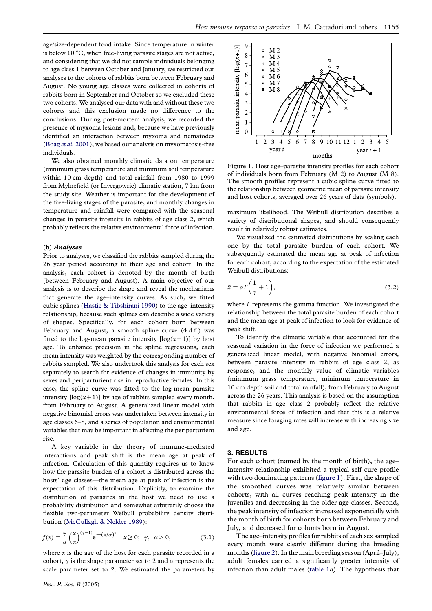age/size-dependent food intake. Since temperature in winter is below 10  $\degree$ C, when free-living parasite stages are not active, and considering that we did not sample individuals belonging to age class 1 between October and January, we restricted our analyses to the cohorts of rabbits born between February and August. No young age classes were collected in cohorts of rabbits born in September and October so we excluded these two cohorts. We analysed our data with and without these two cohorts and this exclusion made no difference to the conclusions. During post-mortem analysis, we recorded the presence of myxoma lesions and, because we have previously identified an interaction between myxoma and nematodes (Boag et al[. 2001](#page-5-0)), we based our analysis on myxomatosis-free individuals.

We also obtained monthly climatic data on temperature (minimum grass temperature and minimum soil temperature within 10 cm depth) and total rainfall from 1980 to 1999 from Mylnefield (or Invergowrie) climatic station, 7 km from the study site. Weather is important for the development of the free-living stages of the parasite, and monthly changes in temperature and rainfall were compared with the seasonal changes in parasite intensity in rabbits of age class 2, which probably reflects the relative environmental force of infection.

#### (b) Analyses

Prior to analyses, we classified the rabbits sampled during the 26 year period according to their age and cohort. In the analysis, each cohort is denoted by the month of birth (between February and August). A main objective of our analysis is to describe the shape and reveal the mechanisms that generate the age–intensity curves. As such, we fitted cubic splines ([Hastie & Tibshirani 1990](#page-5-0)) to the age–intensity relationship, because such splines can describe a wide variety of shapes. Specifically, for each cohort born between February and August, a smooth spline curve (4 d.f.) was fitted to the log-mean parasite intensity  $\lceil \log(x+1) \rceil$  by host age. To enhance precision in the spline regressions, each mean intensity was weighted by the corresponding number of rabbits sampled. We also undertook this analysis for each sex separately to search for evidence of changes in immunity by sexes and periparturient rise in reproductive females. In this case, the spline curve was fitted to the log-mean parasite intensity  $\lceil \log(x+1) \rceil$  by age of rabbits sampled every month, from February to August. A generalized linear model with negative binomial errors was undertaken between intensity in age classes 6–8, and a series of population and environmental variables that may be important in affecting the periparturient rise.

A key variable in the theory of immune-mediated interactions and peak shift is the mean age at peak of infection. Calculation of this quantity requires us to know how the parasite burden of a cohort is distributed across the hosts' age classes—the mean age at peak of infection is the expectation of this distribution. Explicitly, to examine the distribution of parasites in the host we need to use a probability distribution and somewhat arbitrarily choose the flexible two-parameter Weibull probability density distribution ([McCullagh & Nelder 1989\)](#page-5-0):

$$
f(x) = \frac{\gamma}{\alpha} \left(\frac{x}{\alpha}\right)^{(\gamma - 1)} e^{-(x/\alpha)^{\gamma}} \quad x \ge 0; \ \gamma, \ \alpha > 0,
$$
 (3.1)

where  $x$  is the age of the host for each parasite recorded in a cohort,  $\gamma$  is the shape parameter set to 2 and  $\alpha$  represents the scale parameter set to 2. We estimated the parameters by



Figure 1. Host age–parasite intensity profiles for each cohort of individuals born from February  $(M 2)$  to August  $(M 8)$ . The smooth profiles represent a cubic spline curve fitted to the relationship between geometric mean of parasite intensity and host cohorts, averaged over 26 years of data (symbols).

maximum likelihood. The Weibull distribution describes a variety of distributional shapes, and should consequently result in relatively robust estimates.

We visualized the estimated distributions by scaling each one by the total parasite burden of each cohort. We subsequently estimated the mean age at peak of infection for each cohort, according to the expectation of the estimated Weibull distributions:

$$
\bar{x} = \alpha \Gamma \left( \frac{1}{\gamma} + 1 \right),\tag{3.2}
$$

where  $\Gamma$  represents the gamma function. We investigated the relationship between the total parasite burden of each cohort and the mean age at peak of infection to look for evidence of peak shift.

To identify the climatic variable that accounted for the seasonal variation in the force of infection we performed a generalized linear model, with negative binomial errors, between parasite intensity in rabbits of age class 2, as response, and the monthly value of climatic variables (minimum grass temperature, minimum temperature in 10 cm depth soil and total rainfall), from February to August across the 26 years. This analysis is based on the assumption that rabbits in age class 2 probably reflect the relative environmental force of infection and that this is a relative measure since foraging rates will increase with increasing size and age.

## 3. RESULTS

For each cohort (named by the month of birth), the age– intensity relationship exhibited a typical self-cure profile with two dominating patterns (figure 1). First, the shape of the smoothed curves was relatively similar between cohorts, with all curves reaching peak intensity in the juveniles and decreasing in the older age classes. Second, the peak intensity of infection increased exponentially with the month of birth for cohorts born between February and July, and decreased for cohorts born in August.

The age–intensity profiles for rabbits of each sex sampled every month were clearly different during the breeding months [\(figure 2\)](#page-3-0). In the main breeding season (April–July), adult females carried a significantly greater intensity of infection than adult males (table  $1a$ ). The hypothesis that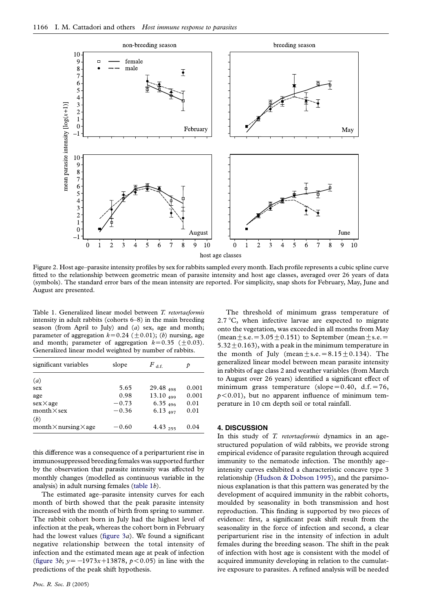<span id="page-3-0"></span>

Figure 2. Host age–parasite intensity profiles by sex for rabbits sampled every month. Each profile represents a cubic spline curve fitted to the relationship between geometric mean of parasite intensity and host age classes, averaged over 26 years of data (symbols). The standard error bars of the mean intensity are reported. For simplicity, snap shots for February, May, June and August are presented.

Table 1. Generalized linear model between T. retortaeformis intensity in adult rabbits (cohorts 6–8) in the main breeding season (from April to July) and  $(a)$  sex, age and month; parameter of aggregation  $k=0.24$  ( $\pm 0.01$ ); (b) nursing, age and month; parameter of aggregation  $k=0.35$  ( $\pm 0.03$ ). Generalized linear model weighted by number of rabbits.

| significant variables               | slope   | $F$ d f       | Þ     |
|-------------------------------------|---------|---------------|-------|
| (a)                                 |         |               |       |
| sex                                 | 5.65    | $29.48_{498}$ | 0.001 |
| age                                 | 0.98    | $13.10_{499}$ | 0.001 |
| $sex\times age$                     | $-0.73$ | $6.35_{496}$  | 0.01  |
| $month \times$ sex                  | $-0.36$ | $6.13_{497}$  | 0.01  |
| (b)                                 |         |               |       |
| $month \times$ nursing $\times$ age | $-0.60$ | 4.43,255      | 0.04  |

this difference was a consequence of a periparturient rise in immunosuppressed breeding females was supported further by the observation that parasite intensity was affected by monthly changes (modelled as continuous variable in the analysis) in adult nursing females (table 1b).

The estimated age–parasite intensity curves for each month of birth showed that the peak parasite intensity increased with the month of birth from spring to summer. The rabbit cohort born in July had the highest level of infection at the peak, whereas the cohort born in February had the lowest values (figure  $3a$ ). We found a significant negative relationship between the total intensity of infection and the estimated mean age at peak of infection ([figure 3](#page-4-0)b;  $y = -1973x + 13878$ ,  $p < 0.05$ ) in line with the predictions of the peak shift hypothesis.

The threshold of minimum grass temperature of 2.7  $\mathrm{C}$ , when infective larvae are expected to migrate onto the vegetation, was exceeded in all months from May (mean  $\pm$  s.e. = 3.05  $\pm$  0.151) to September (mean  $\pm$  s.e. =  $5.32 \pm 0.163$ , with a peak in the minimum temperature in the month of July (mean  $\pm$  s.e. = 8.15 $\pm$ 0.134). The generalized linear model between mean parasite intensity in rabbits of age class 2 and weather variables (from March to August over 26 years) identified a significant effect of minimum grass temperature (slope= $0.40$ , d.f.=76,  $p < 0.01$ ), but no apparent influence of minimum temperature in 10 cm depth soil or total rainfall.

## 4. DISCUSSION

In this study of T. retortaeformis dynamics in an agestructured population of wild rabbits, we provide strong empirical evidence of parasite regulation through acquired immunity to the nematode infection. The monthly age– intensity curves exhibited a characteristic concave type 3 relationship [\(Hudson & Dobson 1995](#page-5-0)), and the parsimonious explanation is that this pattern was generated by the development of acquired immunity in the rabbit cohorts, moulded by seasonality in both transmission and host reproduction. This finding is supported by two pieces of evidence: first, a significant peak shift result from the seasonality in the force of infection and second, a clear periparturient rise in the intensity of infection in adult females during the breeding season. The shift in the peak of infection with host age is consistent with the model of acquired immunity developing in relation to the cumulative exposure to parasites. A refined analysis will be needed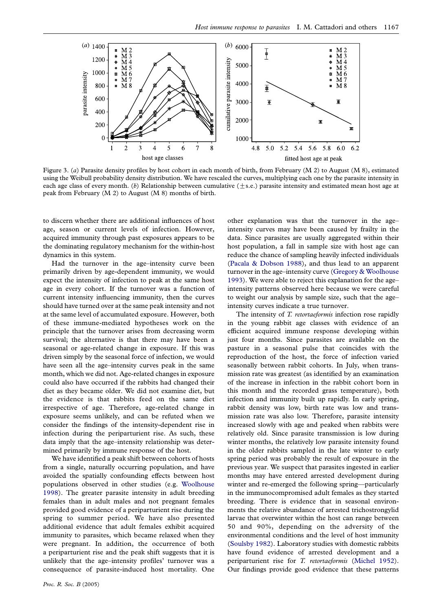<span id="page-4-0"></span>

Figure 3. (a) Parasite density profiles by host cohort in each month of birth, from February (M 2) to August (M 8), estimated using the Weibull probability density distribution. We have rescaled the curves, multiplying each one by the parasite intensity in each age class of every month. (b) Relationship between cumulative  $(\pm s.e.)$  parasite intensity and estimated mean host age at peak from February (M 2) to August (M 8) months of birth.

to discern whether there are additional influences of host age, season or current levels of infection. However, acquired immunity through past exposures appears to be the dominating regulatory mechanism for the within-host dynamics in this system.

Had the turnover in the age–intensity curve been primarily driven by age-dependent immunity, we would expect the intensity of infection to peak at the same host age in every cohort. If the turnover was a function of current intensity influencing immunity, then the curves should have turned over at the same peak intensity and not at the same level of accumulated exposure. However, both of these immune-mediated hypotheses work on the principle that the turnover arises from decreasing worm survival; the alternative is that there may have been a seasonal or age-related change in exposure. If this was driven simply by the seasonal force of infection, we would have seen all the age–intensity curves peak in the same month, which we did not. Age-related changes in exposure could also have occurred if the rabbits had changed their diet as they became older. We did not examine diet, but the evidence is that rabbits feed on the same diet irrespective of age. Therefore, age-related change in exposure seems unlikely, and can be refuted when we consider the findings of the intensity-dependent rise in infection during the periparturient rise. As such, these data imply that the age–intensity relationship was determined primarily by immune response of the host.

We have identified a peak shift between cohorts of hosts from a single, naturally occurring population, and have avoided the spatially confounding effects between host populations observed in other studies (e.g. [Woolhouse](#page-6-0) [1998](#page-6-0)). The greater parasite intensity in adult breeding females than in adult males and not pregnant females provided good evidence of a periparturient rise during the spring to summer period. We have also presented additional evidence that adult females exhibit acquired immunity to parasites, which became relaxed when they were pregnant. In addition, the occurrence of both a periparturient rise and the peak shift suggests that it is unlikely that the age–intensity profiles' turnover was a consequence of parasite-induced host mortality. One other explanation was that the turnover in the age– intensity curves may have been caused by frailty in the data. Since parasites are usually aggregated within their host population, a fall in sample size with host age can reduce the chance of sampling heavily infected individuals ([Pacala & Dobson 1988\)](#page-5-0), and thus lead to an apparent turnover in the age–intensity curve [\(Gregory & Woolhouse](#page-5-0) [1993](#page-5-0)). We were able to reject this explanation for the age– intensity patterns observed here because we were careful to weight our analysis by sample size, such that the age– intensity curves indicate a true turnover.

The intensity of T. retortaeformis infection rose rapidly in the young rabbit age classes with evidence of an efficient acquired immune response developing within just four months. Since parasites are available on the pasture in a seasonal pulse that coincides with the reproduction of the host, the force of infection varied seasonally between rabbit cohorts. In July, when transmission rate was greatest (as identified by an examination of the increase in infection in the rabbit cohort born in this month and the recorded grass temperature), both infection and immunity built up rapidly. In early spring, rabbit density was low, birth rate was low and transmission rate was also low. Therefore, parasite intensity increased slowly with age and peaked when rabbits were relatively old. Since parasite transmission is low during winter months, the relatively low parasite intensity found in the older rabbits sampled in the late winter to early spring period was probably the result of exposure in the previous year. We suspect that parasites ingested in earlier months may have entered arrested development during winter and re-emerged the following spring—particularly in the immunocompromised adult females as they started breeding. There is evidence that in seasonal environments the relative abundance of arrested trichostrongylid larvae that overwinter within the host can range between 50 and 90%, depending on the adversity of the environmental conditions and the level of host immunity ([Soulsby 1982\)](#page-6-0). Laboratory studies with domestic rabbits have found evidence of arrested development and a periparturient rise for T. retortaeformis ([Michel 1952](#page-5-0)). Our findings provide good evidence that these patterns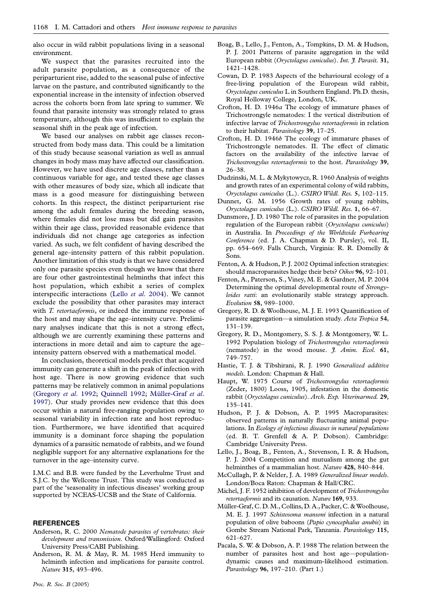<span id="page-5-0"></span>also occur in wild rabbit populations living in a seasonal environment.

We suspect that the parasites recruited into the adult parasite population, as a consequence of the periparturient rise, added to the seasonal pulse of infective larvae on the pasture, and contributed significantly to the exponential increase in the intensity of infection observed across the cohorts born from late spring to summer. We found that parasite intensity was strongly related to grass temperature, although this was insufficient to explain the seasonal shift in the peak age of infection.

We based our analyses on rabbit age classes reconstructed from body mass data. This could be a limitation of this study because seasonal variation as well as annual changes in body mass may have affected our classification. However, we have used discrete age classes, rather than a continuous variable for age, and tested these age classes with other measures of body size, which all indicate that mass is a good measure for distinguishing between cohorts. In this respect, the distinct periparturient rise among the adult females during the breeding season, where females did not lose mass but did gain parasites within their age class, provided reasonable evidence that individuals did not change age categories as infection varied. As such, we felt confident of having described the general age–intensity pattern of this rabbit population. Another limitation of this study is that we have considered only one parasite species even though we know that there are four other gastrointestinal helminths that infect this host population, which exhibit a series of complex interspecific interactions (Lello et al. 2004). We cannot exclude the possibility that other parasites may interact with *T. retortaeformis*, or indeed the immune response of the host and may shape the age–intensity curve. Preliminary analyses indicate that this is not a strong effect, although we are currently examining these patterns and interactions in more detail and aim to capture the age– intensity pattern observed with a mathematical model.

In conclusion, theoretical models predict that acquired immunity can generate a shift in the peak of infection with host age. There is now growing evidence that such patterns may be relatively common in animal populations (Gregory et al. 1992; [Quinnell 1992;](#page-6-0) Müller-Graf et al. 1997). Our study provides new evidence that this does occur within a natural free-ranging population owing to seasonal variability in infection rate and host reproduction. Furthermore, we have identified that acquired immunity is a dominant force shaping the population dynamics of a parasitic nematode of rabbits, and we found negligible support for any alternative explanations for the turnover in the age–intensity curve.

I.M.C and B.B. were funded by the Leverhulme Trust and S.J.C. by the Wellcome Trust. This study was conducted as part of the 'seasonality in infectious diseases' working group supported by NCEAS-UCSB and the State of California.

## **REFERENCES**

- Anderson, R. C. 2000 Nematode parasites of vertebrates: their development and transmission. Oxford/Wallingford: Oxford University Press/CABI Publishing.
- Anderson, R. M. & May, R. M. 1985 Herd immunity to helminth infection and implications for parasite control. Nature 315, 493–496.
- Boag, B., Lello, J., Fenton, A., Tompkins, D. M. & Hudson, P. J. 2001 Patterns of parasite aggregation in the wild European rabbit (Oryctolagus cuniculus). Int. J. Parasit. 31, 1421–1428.
- Cowan, D. P. 1983 Aspects of the behavioural ecology of a free-living population of the European wild rabbit, Oryctolagus cuniculus L in Southern England. Ph.D. thesis, Royal Holloway College, London, UK.
- Crofton, H. D. 1946a The ecology of immature phases of Trichostrongyle nematodes: I the vertical distribution of infective larvae of Trichostrongylus retortaeformis in relation to their habitat. Parasitology 39, 17-25.
- Crofton, H. D. 1946b The ecology of immature phases of Trichostrongyle nematodes. II. The effect of climatic factors on the availability of the infective larvae of Trichostrongylus retortaeformis to the host. Parasitology 39, 26–38.
- Dudzinski, M. L. & Mykytowycz, R. 1960 Analysis of weights and growth rates of an experimental colony of wild rabbits, Oryctolagus cuniculus (L.). CSIRO Wildl. Res. 5, 102–115.
- Dunnet, G. M. 1956 Growth rates of young rabbits, Oryctolagus cuniculus (L.). CSIRO Wildl. Res. 1, 66–67.
- Dunsmore, J. D. 1980 The role of parasites in the population regulation of the European rabbit (Oryctolagus cuniculus) in Australia. In Proceedings of the Worldwide Furbearing Conference (ed. J. A. Chapman & D. Pursley), vol. II, pp. 654–669. Falls Church, Virginia: R. R. Domelly & Sons.
- Fenton, A. & Hudson, P. J. 2002 Optimal infection strategies: should macroparasites hedge their bets? Oikos 96, 92–101.
- Fenton, A., Paterson, S., Viney, M. E. & Gardner, M. P. 2004 Determining the optimal developmental route of Strongyloides ratti: an evolutionarily stable strategy approach. Evolution 58, 989–1000.
- Gregory, R. D. & Woolhouse, M. J. E. 1993 Quantification of parasite aggregation—a simulation study. Acta Tropica 54, 131–139.
- Gregory, R. D., Montgomery, S. S. J. & Montgomery, W. L. 1992 Population biology of Trichostrongylus retortaeformis (nematode) in the wood mouse. J. Anim. Ecol. 61, 749–757.
- Hastie, T. J. & Tibshirani, R. J. 1990 Generalized additive models. London: Chapman & Hall.
- Haupt, W. 1975 Course of Trichostrongylus retortaeformis (Zeder, 1800) Looss, 1905, infestation in the domestic rabbit (Oryctolagus cuniculus). Arch. Exp. Veterinarmed. 29, 135–141.
- Hudson, P. J. & Dobson, A. P. 1995 Macroparasites: observed patterns in naturally fluctuating animal populations. In Ecology of infectious diseases in natural populations (ed. B. T. Grenfell & A. P. Dobson). Cambridge: Cambridge University Press.
- Lello, J., Boag, B., Fenton, A., Stevenson, I. R. & Hudson, P. J. 2004 Competition and mutualism among the gut helminthes of a mammalian host. Nature 428, 840-844.
- McCullagh, P. & Nelder, J. A. 1989 Generalized linear models. London/Boca Raton: Chapman & Hall/CRC.
- Michel, J. F. 1952 inhibition of development of Trichostrongylus retortaeformis and its causation. Nature 169, 933.
- Müller-Graf, C.D. M., Collins, D.A., Packer, C. & Woolhouse, M. E. J. 1997 Schistosoma mansoni infection in a natural population of olive baboons (Papio cynocephalus anubis) in Gombe Stream National Park, Tanzania. Parasitology 115, 621–627.
- Pacala, S. W. & Dobson, A. P. 1988 The relation between the number of parasites host and host age—populationdynamic causes and maximum-likelihood estimation. Parasitology 96, 197–210. (Part 1.)